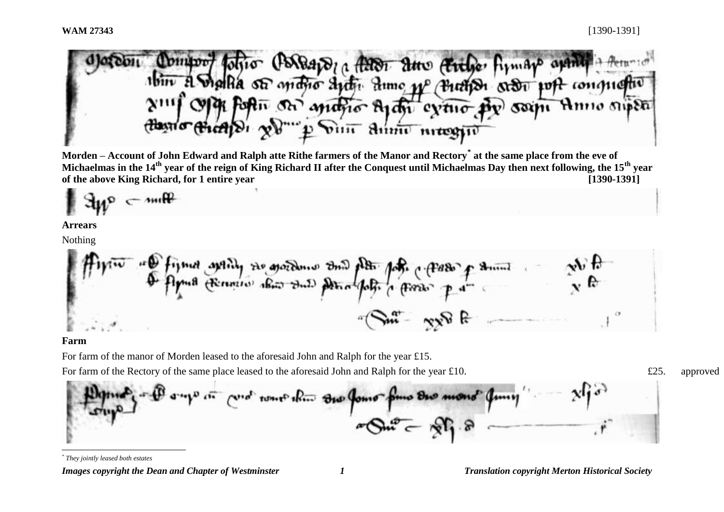io (BABA) a faldi due (Fithe firm 1bin A Shalla of matio anti- dumo pp (Buthon order port congu forthe on mano Aran eveno py same Anno super Din Annu maggio

**Morden – Account of John Edward and Ralph atte Rithe farmers of the Manor and Rectory\* at the same place from the eve of Michaelmas in the 14th year of the reign of King Richard II after the Conquest until Michaelmas Day then next following, the 15th year of the above King Richard, for 1 entire year [1390-1391]**

 $\epsilon$  mine

#### **Arrears**

Nothing

De figured and ity the growth was one of the father of the of the figure of the second the figure of the figure  $m - \sqrt{2}$ 

#### **Farm**

l

For farm of the manor of Morden leased to the aforesaid John and Ralph for the year £15.

For farm of the Rectory of the same place leased to the aforesaid John and Ralph for the year £10.  $\text{\textsterling}25.$  approved

*\* They jointly leased both estates*

*Images copyright the Dean and Chapter of Westminster 1 Translation copyright Merton Historical Society*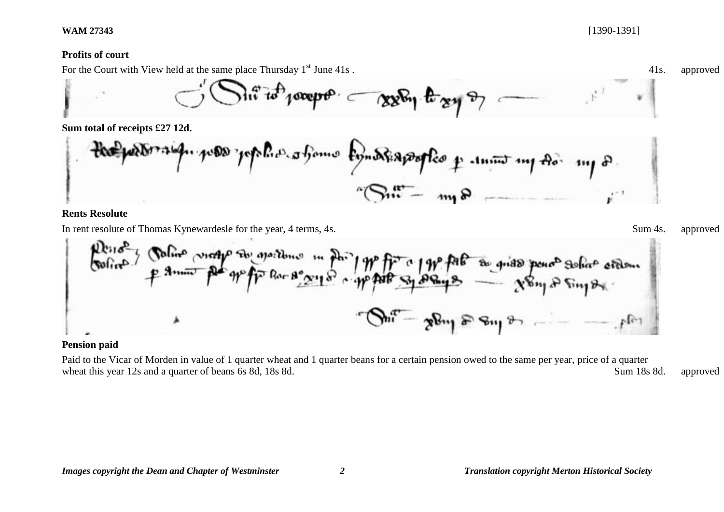## **Profits of court**

For the Court with View held at the same place Thursday  $1<sup>st</sup>$  June 41s.  $\frac{41s}{41s}$  approved

$$
\bigcirc^{\prime}\bigcirc^{\prime}\mathbf{a}^{\prime\prime}\mathbf{a}^{\prime} \mathbf{a}^{\prime} \mathbf{a}^{\prime} \mathbf{a}^{\prime} \mathbf{a}^{\prime} + \bigcirc^{\prime}\mathbf{a}^{\prime} \mathbf{a}^{\prime} \mathbf{a}^{\prime} \mathbf{a}^{\prime} + \bigcirc^{\prime}\mathbf{a}^{\prime} \mathbf{a}^{\prime} \mathbf{a}^{\prime} + \bigcirc^{\prime}\mathbf{a}^{\prime} \mathbf{a}^{\prime} \mathbf{a}^{\prime} + \bigcirc^{\prime}\mathbf{a}^{\prime} \mathbf{a}^{\prime} \mathbf{a}^{\prime} + \bigcirc^{\prime}\mathbf{a}^{\prime} \mathbf{a}^{\prime} \mathbf{a}^{\prime} + \bigcirc^{\prime}\mathbf{a}^{\prime} \mathbf{a}^{\prime} + \bigcirc^{\prime}\mathbf{a}^{\prime} \mathbf{a}^{\prime} + \bigcirc^{\prime}\mathbf{a}^{\prime} \mathbf{a}^{\prime} + \bigcirc^{\prime}\mathbf{a}^{\prime} \mathbf{a}^{\prime} + \bigcirc^{\prime}\mathbf{a}^{\prime} + \bigcirc^{\prime}\mathbf{a}^{\prime} + \bigcirc^{\prime}\mathbf{a}^{\prime} + \bigcirc^{\prime}\mathbf{a}^{\prime} + \bigcirc^{\prime}\mathbf{a}^{\prime} + \bigcirc^{\prime}\mathbf{a}^{\prime} + \bigcirc^{\prime}\mathbf{a}^{\prime} + \bigcirc^{\prime}\mathbf{a}^{\prime} + \bigcirc^{\prime}\mathbf{a}^{\prime} + \bigcirc^{\prime}\mathbf{a}^{\prime} + \bigcirc^{\prime}\mathbf{a}^{\prime} + \bigcirc^{\prime}\mathbf{a}^{\prime} + \bigcirc^{\prime}\mathbf{a}^{\prime} + \bigcirc^{\prime}\mathbf{a}^{\prime} + \bigcirc^{\prime}\mathbf{a}^{\prime} + \bigcirc^{\prime}\mathbf{a}^{\prime} + \bigcirc^{\prime}\mathbf{a}^{\prime} + \bigcirc^{\prime}\mathbf{a}^{\prime} + \bigcirc^{\prime}\mathbf{a}^{\prime} + \bigcirc^{\prime}\mathbf{a}^{\prime} + \bigcirc^{\prime}\mathbf{a}^{\prime} + \bigcirc^{\prime}\mathbf{a}^{\prime} + \bigcirc^{\prime}\mathbf
$$

**Sum total of receipts £27 12d.**

$$
\frac{1}{2} \int_{0}^{\frac{1}{2}} \frac{1}{\sqrt{1-\frac{1}{2}}\sqrt{1-\frac{1}{2}}\sqrt{1-\frac{1}{2}}\sqrt{1-\frac{1}{2}}\sqrt{1-\frac{1}{2}}\sqrt{1-\frac{1}{2}}\sqrt{1-\frac{1}{2}}\sqrt{1-\frac{1}{2}}\sqrt{1-\frac{1}{2}}\sqrt{1-\frac{1}{2}}\sqrt{1-\frac{1}{2}}\sqrt{1-\frac{1}{2}}\sqrt{1-\frac{1}{2}}\sqrt{1-\frac{1}{2}}\sqrt{1-\frac{1}{2}}\sqrt{1-\frac{1}{2}}\sqrt{1-\frac{1}{2}}\sqrt{1-\frac{1}{2}}\sqrt{1-\frac{1}{2}}\sqrt{1-\frac{1}{2}}\sqrt{1-\frac{1}{2}}\sqrt{1-\frac{1}{2}}\sqrt{1-\frac{1}{2}}\sqrt{1-\frac{1}{2}}\sqrt{1-\frac{1}{2}}\sqrt{1-\frac{1}{2}}\sqrt{1-\frac{1}{2}}\sqrt{1-\frac{1}{2}}\sqrt{1-\frac{1}{2}}\sqrt{1-\frac{1}{2}}\sqrt{1-\frac{1}{2}}\sqrt{1-\frac{1}{2}}\sqrt{1-\frac{1}{2}}\sqrt{1-\frac{1}{2}}\sqrt{1-\frac{1}{2}}\sqrt{1-\frac{1}{2}}\sqrt{1-\frac{1}{2}}\sqrt{1-\frac{1}{2}}\sqrt{1-\frac{1}{2}}\sqrt{1-\frac{1}{2}}\sqrt{1-\frac{1}{2}}\sqrt{1-\frac{1}{2}}\sqrt{1-\frac{1}{2}}\sqrt{1-\frac{1}{2}}\sqrt{1-\frac{1}{2}}\sqrt{1-\frac{1}{2}}\sqrt{1-\frac{1}{2}}\sqrt{1-\frac{1}{2}}\sqrt{1-\frac{1}{2}}\sqrt{1-\frac{1}{2}}\sqrt{1-\frac{1}{2}}\sqrt{1-\frac{1}{2}}\sqrt{1-\frac{1}{2}}\sqrt{1-\frac{1}{2}}\sqrt{1-\frac{1}{2}}\sqrt{1-\frac{1}{2}}\sqrt{1-\frac{1}{2}}\sqrt{1-\frac{1}{2}}\sqrt{1-\frac{1}{2}}\sqrt{1-\frac{1}{2}}\sqrt{1-\frac{1}{2}}\sqrt{1-\frac{1}{2}}\sqrt{1-\frac{1}{2}}\sqrt{1-\frac{1}{2}}\sqrt{1-\frac{1}{2}}\sqrt{1-\frac{1}{2}}\sqrt{1-\frac{1}{
$$

# **Rents Resolute**

In rent resolute of Thomas Kynewardesle for the year, 4 terms, 4s.  $\frac{1}{2}$  Sum 4s. approved



# **Pension paid**

Paid to the Vicar of Morden in value of 1 quarter wheat and 1 quarter beans for a certain pension owed to the same per year, price of a quarter wheat this year 12s and a quarter of beans 6s 8d, 18s 8d.  $\blacksquare$  Sum 18s 8d. approved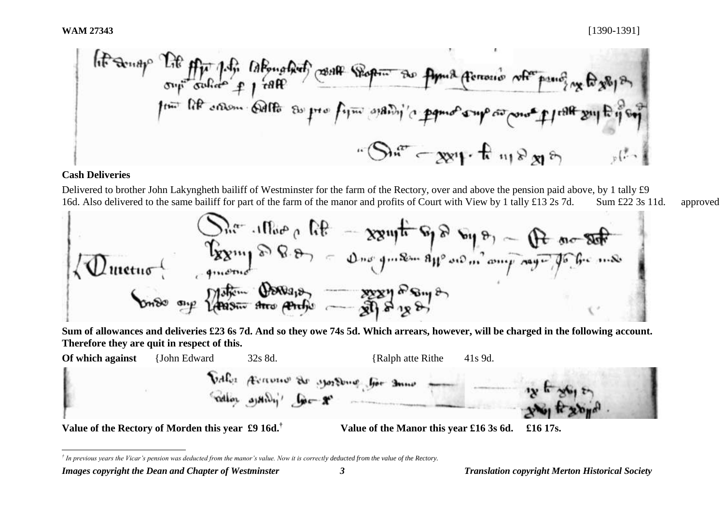\n If 
$$
\sin 4y^{\circ}
$$
 If  $\sin 1.4\pi$  is the number of points  $\cos \theta$  and  $\cos \theta$  is the number of points  $\cos \theta$  and  $\sin \theta$  is the number of points  $\sin \theta$  and  $\sin \theta$  is the number of points  $\sin \theta$  and  $\sin \theta$  is the number of points  $\cos \theta$  and  $\sin \theta$  is the number of points  $\cos \theta$  and  $\sin \theta$  is the number of points  $\cos \theta$  and  $\sin \theta$  is the number of points  $\cos \theta$  and  $\sin \theta$  is the number of points  $\cos \theta$  and  $\sin \theta$  is the number of points  $\sin \theta$  and  $\sin \theta$  is the number of points  $\sin \theta$  and  $\sin \theta$  is the number of points  $\sin \theta$  and  $\sin \theta$  is the number of points  $\sin \theta$  and  $\sin \theta$  is the number of points  $\sin \theta$  and  $\sin \theta$  is the number of points  $\sin \theta$  and  $\sin \theta$  is the number of points  $\sin \theta$  and  $\sin \theta$  is the number of points  $\sin \theta$  and  $\sin \theta$  is the number of points  $\sin \theta$  and  $\sin \theta$  is the number of points  $\sin \theta$  and  $\sin \theta$  is the number of points  $\sin \theta$  and  $\sin \theta$  is the number of points  $\sin \theta$  and  $\sin \theta$  is the number of points  $\sin \theta$  and  $\sin \theta$  is the number of points  $\sin \theta$  and  $\sin \theta$  is the number of points  $\sin \theta$  and  $\sin \theta$  is the number of points  $\sin \theta$  and  $\sin \theta$  is the number of points  $\sin \theta$  and  $\sin \theta$  is the number of points  $\sin \theta$  and  $\sin \theta$  is the number of points  $\sin \theta$  and  $\sin \theta$  is the number of points  $\sin \theta$  and  $\sin \theta$  is the number of points  $\sin \theta$  and  $\sin \theta$  is the number of points  $\sin \theta$ 

### **Cash Deliveries**

l

Delivered to brother John Lakyngheth bailiff of Westminster for the farm of the Rectory, over and above the pension paid above, by 1 tally £9 16d. Also delivered to the same bailiff for part of the farm of the manor and profits of Court with View by 1 tally £13 2s 7d. Sum £22 3s 11d. approved



**Sum of allowances and deliveries £23 6s 7d. And so they owe 74s 5d. Which arrears, however, will be charged in the following account. Therefore they are quit in respect of this.**



*<sup>†</sup> In previous years the Vicar's pension was deducted from the manor's value. Now it is correctly deducted from the value of the Rectory.*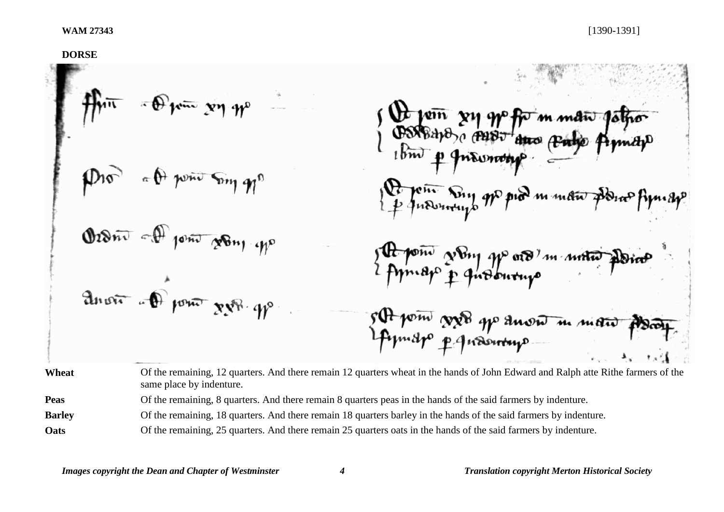**DORSE**  $\pi \theta^+$  point Song g pix m man Order of point going up pone young po ord in unto anout of pour xx8.9p s At point good go anon m mais Wheat Of the remaining, 12 quarters. And there remain 12 quarters wheat in the hands of John Edward and Ralph atte Rithe farmers of the same place by indenture. **Peas** Of the remaining, 8 quarters. And there remain 8 quarters peas in the hands of the said farmers by indenture.

**Barley** Of the remaining, 18 quarters. And there remain 18 quarters barley in the hands of the said farmers by indenture.

**Oats** Of the remaining, 25 quarters. And there remain 25 quarters oats in the hands of the said farmers by indenture.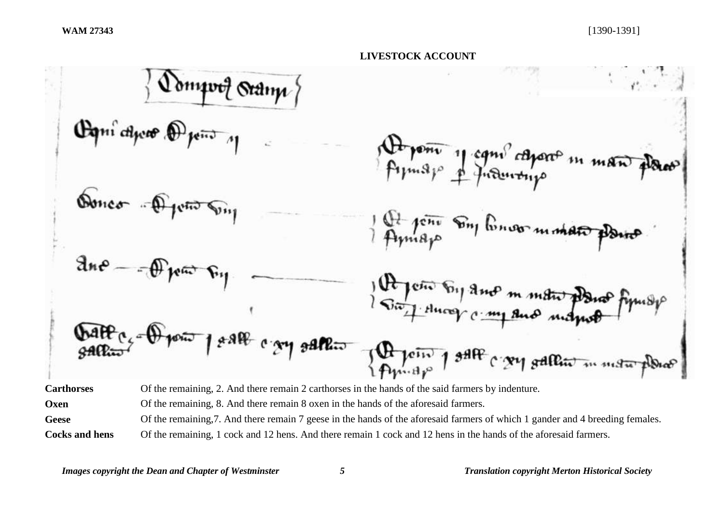

**Oxen** Of the remaining, 8. And there remain 8 oxen in the hands of the aforesaid farmers.

Geese Of the remaining, 7. And there remain 7 geese in the hands of the aforesaid farmers of which 1 gander and 4 breeding females.

**Cocks and hens** Of the remaining, 1 cock and 12 hens. And there remain 1 cock and 12 hens in the hands of the aforesaid farmers.